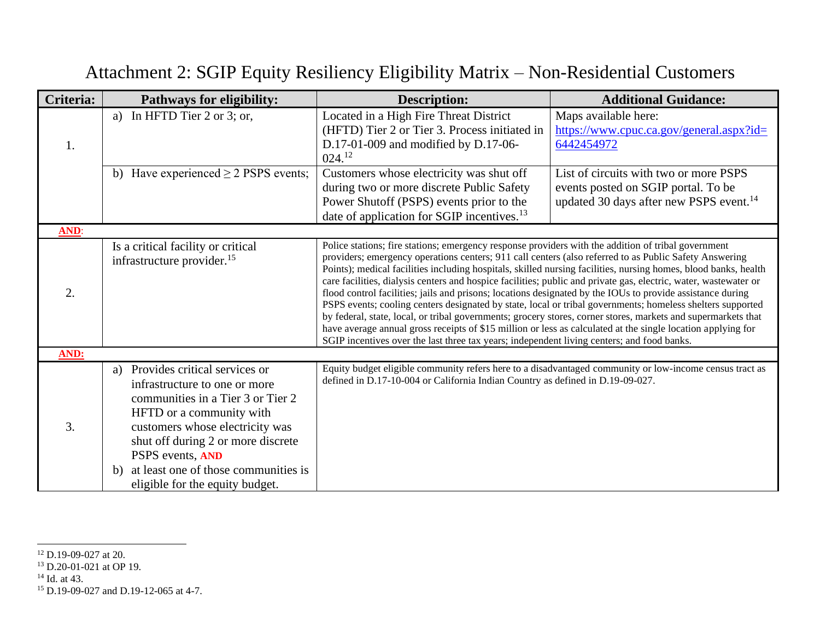| Criteria:   | <b>Pathways for eligibility:</b>                                                                                                                                                                                                                                                                                    | <b>Description:</b>                                                                                                                                                                                                                                                                                                                                                                                                                                                                                                                                                                                                                                                                                                                                                                                                                                                                                                                                                                                             | <b>Additional Guidance:</b>                                                                                                          |
|-------------|---------------------------------------------------------------------------------------------------------------------------------------------------------------------------------------------------------------------------------------------------------------------------------------------------------------------|-----------------------------------------------------------------------------------------------------------------------------------------------------------------------------------------------------------------------------------------------------------------------------------------------------------------------------------------------------------------------------------------------------------------------------------------------------------------------------------------------------------------------------------------------------------------------------------------------------------------------------------------------------------------------------------------------------------------------------------------------------------------------------------------------------------------------------------------------------------------------------------------------------------------------------------------------------------------------------------------------------------------|--------------------------------------------------------------------------------------------------------------------------------------|
| 1.          | a) In HFTD Tier $2$ or $3$ ; or,                                                                                                                                                                                                                                                                                    | Located in a High Fire Threat District<br>(HFTD) Tier 2 or Tier 3. Process initiated in<br>D.17-01-009 and modified by D.17-06-<br>024. <sup>12</sup>                                                                                                                                                                                                                                                                                                                                                                                                                                                                                                                                                                                                                                                                                                                                                                                                                                                           | Maps available here:<br>$\frac{https://www.cpuc.ca.gov/general.aspx?id=$<br>6442454972                                               |
|             | b) Have experienced $\geq$ 2 PSPS events;                                                                                                                                                                                                                                                                           | Customers whose electricity was shut off<br>during two or more discrete Public Safety<br>Power Shutoff (PSPS) events prior to the<br>date of application for SGIP incentives. <sup>13</sup>                                                                                                                                                                                                                                                                                                                                                                                                                                                                                                                                                                                                                                                                                                                                                                                                                     | List of circuits with two or more PSPS<br>events posted on SGIP portal. To be<br>updated 30 days after new PSPS event. <sup>14</sup> |
| <b>AND:</b> |                                                                                                                                                                                                                                                                                                                     |                                                                                                                                                                                                                                                                                                                                                                                                                                                                                                                                                                                                                                                                                                                                                                                                                                                                                                                                                                                                                 |                                                                                                                                      |
| 2.          | Is a critical facility or critical<br>infrastructure provider. <sup>15</sup>                                                                                                                                                                                                                                        | Police stations; fire stations; emergency response providers with the addition of tribal government<br>providers; emergency operations centers; 911 call centers (also referred to as Public Safety Answering<br>Points); medical facilities including hospitals, skilled nursing facilities, nursing homes, blood banks, health<br>care facilities, dialysis centers and hospice facilities; public and private gas, electric, water, wastewater or<br>flood control facilities; jails and prisons; locations designated by the IOUs to provide assistance during<br>PSPS events; cooling centers designated by state, local or tribal governments; homeless shelters supported<br>by federal, state, local, or tribal governments; grocery stores, corner stores, markets and supermarkets that<br>have average annual gross receipts of \$15 million or less as calculated at the single location applying for<br>SGIP incentives over the last three tax years; independent living centers; and food banks. |                                                                                                                                      |
| AND:        |                                                                                                                                                                                                                                                                                                                     |                                                                                                                                                                                                                                                                                                                                                                                                                                                                                                                                                                                                                                                                                                                                                                                                                                                                                                                                                                                                                 |                                                                                                                                      |
| 3.          | Provides critical services or<br>a)<br>infrastructure to one or more<br>communities in a Tier 3 or Tier 2<br>HFTD or a community with<br>customers whose electricity was<br>shut off during 2 or more discrete<br>PSPS events, AND<br>at least one of those communities is<br>b)<br>eligible for the equity budget. | Equity budget eligible community refers here to a disadvantaged community or low-income census tract as<br>defined in D.17-10-004 or California Indian Country as defined in D.19-09-027.                                                                                                                                                                                                                                                                                                                                                                                                                                                                                                                                                                                                                                                                                                                                                                                                                       |                                                                                                                                      |

## Attachment 2: SGIP Equity Resiliency Eligibility Matrix – Non-Residential Customers

<sup>&</sup>lt;sup>12</sup> D.19-09-027 at 20.

<sup>13</sup> D.20-01-021 at OP 19.

 $14$  Id. at 43.

<sup>15</sup> D.19-09-027 and D.19-12-065 at 4-7.